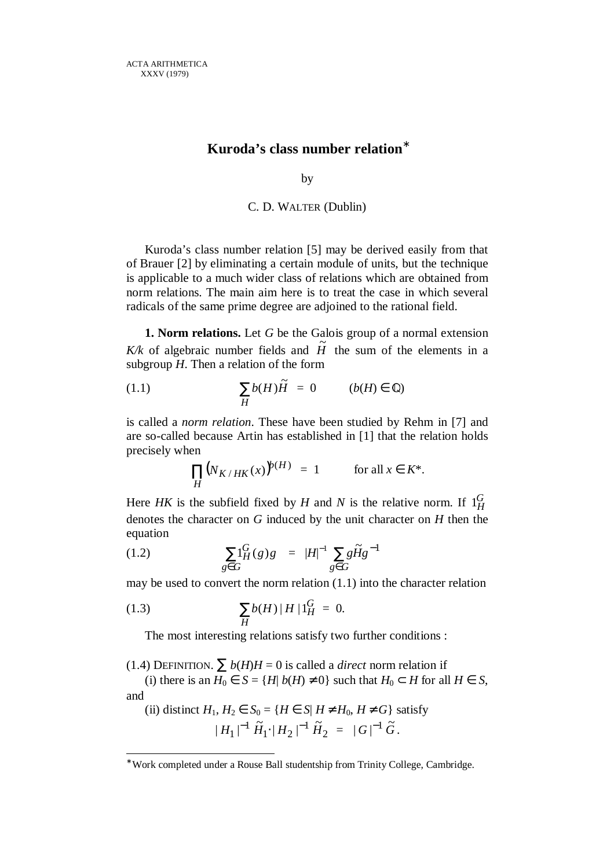# **Kuroda's class number relation**<sup>∗</sup>

by

## C. D. WALTER (Dublin)

Kuroda's class number relation [5] may be derived easily from that of Brauer [2] by eliminating a certain module of units, but the technique is applicable to a much wider class of relations which are obtained from norm relations. The main aim here is to treat the case in which several radicals of the same prime degree are adjoined to the rational field.

**1. Norm relations.** Let *G* be the Galois group of a normal extension  $K/k$  of algebraic number fields and  $\tilde{H}$  the sum of the elements in a subgroup *H*. Then a relation of the form

(1.1) 
$$
\sum_{H} b(H)\tilde{H} = 0 \qquad (b(H) \in \mathbb{Q})
$$

is called a *norm relation*. These have been studied by Rehm in [7] and are so-called because Artin has established in [1] that the relation holds precisely when

$$
\prod_{H} \bigl(N_{K/HK}(x)\bigr)^{k(H)} = 1 \quad \text{for all } x \in K^*.
$$

Here *HK* is the subfield fixed by *H* and *N* is the relative norm. If  $1_H^G$ denotes the character on *G* induced by the unit character on *H* then the equation

(1.2) 
$$
\sum_{g \in G} 1_H^G(g)g = |H|^{-1} \sum_{g \in G} g \tilde{H} g^{-1}
$$

may be used to convert the norm relation (1.1) into the character relation

(1.3) 
$$
\sum_{H} b(H) |H| 1_H^G = 0.
$$

 $\overline{a}$ 

The most interesting relations satisfy two further conditions :

(1.4) DEFINITION.  $\sum b(H)H = 0$  is called a *direct* norm relation if

(i) there is an  $H_0 \in S = \{H | b(H) \neq 0\}$  such that  $H_0 \subset H$  for all  $H \in S$ , and

(ii) distinct 
$$
H_1, H_2 \in S_0 = \{ H \in S | H \neq H_0, H \neq G \}
$$
 satisfy  

$$
|H_1|^{-1} \tilde{H}_1 \cdot |H_2|^{-1} \tilde{H}_2 = |G|^{-1} \tilde{G}.
$$

<sup>∗</sup> Work completed under a Rouse Ball studentship from Trinity College, Cambridge.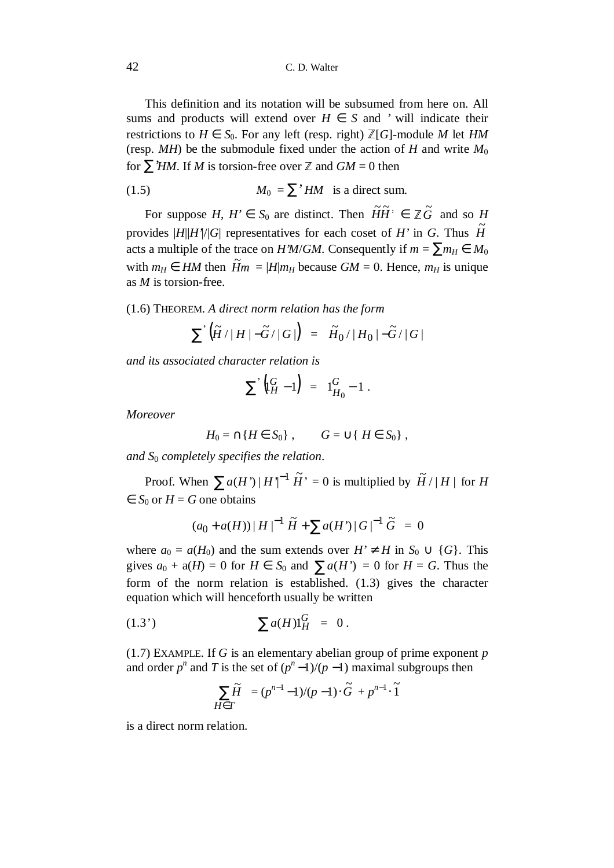This definition and its notation will be subsumed from here on. All sums and products will extend over  $H \in S$  and *'* will indicate their restrictions to  $H \in S_0$ . For any left (resp. right)  $\mathbb{Z}[G]$ -module M let *HM* (resp.  $MH$ ) be the submodule fixed under the action of *H* and write  $M_0$ for  $\sum' H M$ . If *M* is torsion-free over  $\mathbb Z$  and  $GM = 0$  then

(1.5) 
$$
M_0 = \sum' HM \text{ is a direct sum.}
$$

For suppose *H*,  $H' \in S_0$  are distinct. Then  $\widetilde{H}\widetilde{H}' \in \mathbb{Z}\widetilde{G}$  and so  $H \to \infty$ provides  $|H||H'|/|G|$  representatives for each coset of *H'* in *G*. Thus  $\widetilde{H}$ acts a multiple of the trace on *H'M*/*GM*. Consequently if  $m = \sum m_H \in M_0$ with  $m_H \in HM$  then  $\widetilde{H}m = |H|m_H$  because  $GM = 0$ . Hence,  $m_H$  is unique as *M* is torsion-free.

(1.6) THEOREM. *A direct norm relation has the form*

$$
\sum\big|\big(\widetilde{H}/|H|-\widetilde{G}/|G|\big)\big| = |\widetilde{H}_0/|H_0|-\widetilde{G}/|G|
$$

*and its associated character relation is*

$$
\sum \left( \begin{matrix} G \\ H \end{matrix} - 1 \right) = 1 \begin{matrix} G \\ H_0 \end{matrix} - 1 \ .
$$

*Moreover*

$$
H_0 = \cap \{H \in S_0\}, \qquad G = \cup \{H \in S_0\},\
$$

*and S*0 *completely specifies the relation*.

Proof. When  $\sum a(H') |H'|^{-1} \widetilde{H}' = 0$  is multiplied by  $\widetilde{H}/|H|$  for *H*  $\in S_0$  or  $H = G$  one obtains

$$
(a_0 + a(H)) |H|^{-1} \tilde{H} + \sum a(H') |G|^{-1} \tilde{G} = 0
$$

where  $a_0 = a(H_0)$  and the sum extends over  $H' \neq H$  in  $S_0 \cup \{G\}$ . This gives  $a_0 + a(H) = 0$  for  $H \in S_0$  and  $\sum a(H') = 0$  for  $H = G$ . Thus the form of the norm relation is established. (1.3) gives the character equation which will henceforth usually be written

(1.3') 
$$
\sum a(H)1_H^G = 0.
$$

(1.7) EXAMPLE. If *G* is an elementary abelian group of prime exponent *p* and order  $p^n$  and T is the set of  $(p^n-1)/(p-1)$  maximal subgroups then

$$
\sum_{H \in T} \widetilde{H} = (p^{n-1} - 1)/(p - 1) \cdot \widetilde{G} + p^{n-1} \cdot \widetilde{1}
$$

is a direct norm relation.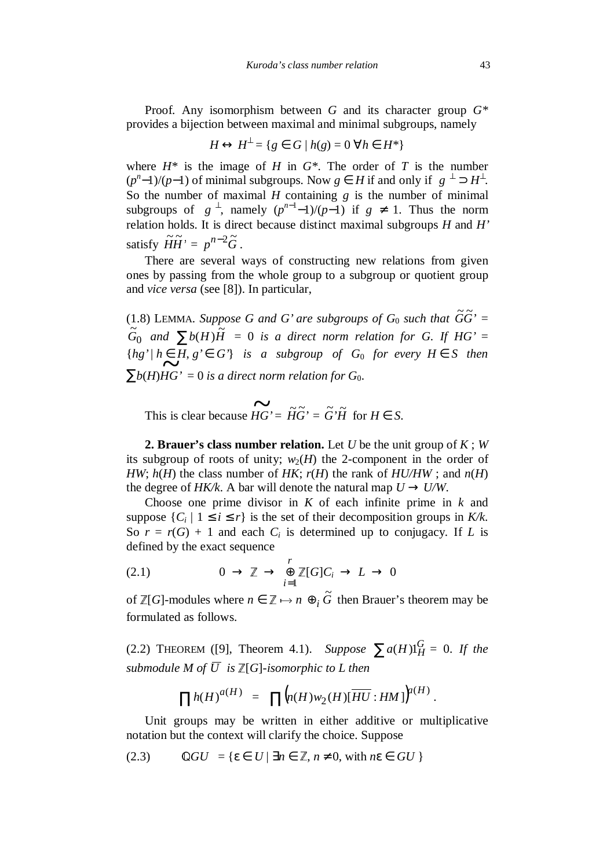Proof. Any isomorphism between *G* and its character group *G\** provides a bijection between maximal and minimal subgroups, namely

$$
H \leftrightarrow H^{\perp} = \{ g \in G \mid h(g) = 0 \,\,\forall h \in H^* \}
$$

where  $H^*$  is the image of *H* in  $G^*$ . The order of *T* is the number  $(p<sup>n</sup>-1)/(p-1)$  of minimal subgroups. Now  $g \in H$  if and only if  $\langle g \rangle^{\perp} \supset H^{\perp}$ . So the number of maximal *H* containing *g* is the number of minimal subgroups of  $\langle g \rangle^{\perp}$ , namely  $(p^{n-1}-1)/(p-1)$  if  $g \neq 1$ . Thus the norm relation holds. It is direct because distinct maximal subgroups *H* and *H'* satisfy  $\widetilde{H} \widetilde{H}$ <sup>*n*</sup> =  $p^{n-2} \widetilde{G}$ .

There are several ways of constructing new relations from given ones by passing from the whole group to a subgroup or quotient group and *vice versa* (see [8]). In particular,

(1.8) LEMMA. *Suppose G and G' are subgroups of G*<sub>0</sub> *such that*  $\widetilde{G}\widetilde{G}$ <sup>*r*</sup> =  $\overline{0}$  $\int_{0}^{\infty}$  *and*  $\sum b(H)$  $\tilde{H}$  = 0 *is a direct norm relation for G. If HG'* =  ${h}{g' | h \in H, g' \in G'}$  *is a subgroup of G<sub>0</sub> for every H*  $\in$  *S then*  $\sum b(H)HG' = 0$  *is a direct norm relation for G*<sub>0</sub>.

This is clear because  $\overrightarrow{HG} = \widetilde{H}\widetilde{G} = \widetilde{G}'\widetilde{H}$  for  $H \in S$ .

**2. Brauer's class number relation.** Let *U* be the unit group of *K* ; *W* its subgroup of roots of unity;  $w_2(H)$  the 2-component in the order of *HW*;  $h(H)$  the class number of *HK*;  $r(H)$  the rank of  $HU/HW$ ; and  $n(H)$ the degree of *HK/k*. A bar will denote the natural map  $U \rightarrow U/W$ .

Choose one prime divisor in *K* of each infinite prime in *k* and suppose  $\{C_i \mid 1 \le i \le r\}$  is the set of their decomposition groups in K/k. So  $r = r(G) + 1$  and each  $C_i$  is determined up to conjugacy. If *L* is defined by the exact sequence

(2.1) 
$$
0 \to \mathbb{Z} \to \bigoplus_{i=1}^r \mathbb{Z}[G]C_i \to L \to 0
$$

of  $\mathbb{Z}[G]$ -modules where  $n \in \mathbb{Z} \mapsto n \oplus_i \widetilde{G}$  then Brauer's theorem may be formulated as follows.

(2.2) THEOREM ([9], Theorem 4.1). *Suppose*  $\sum a(H) 1_H^G = 0$ . If the *submodule M of*  $\overline{U}$  *is*  $\mathbb{Z}[G]$ *-isomorphic to L then* 

$$
\prod h(H)^{a(H)} = \prod (n(H)w_2(H)[\overline{HU}:HM])^{a(H)}.
$$

Unit groups may be written in either additive or multiplicative notation but the context will clarify the choice. Suppose

(2.3) 
$$
\mathbb{Q}GU = \{ \varepsilon \in U \mid \exists n \in \mathbb{Z}, n \neq 0, \text{ with } n\varepsilon \in GU \}
$$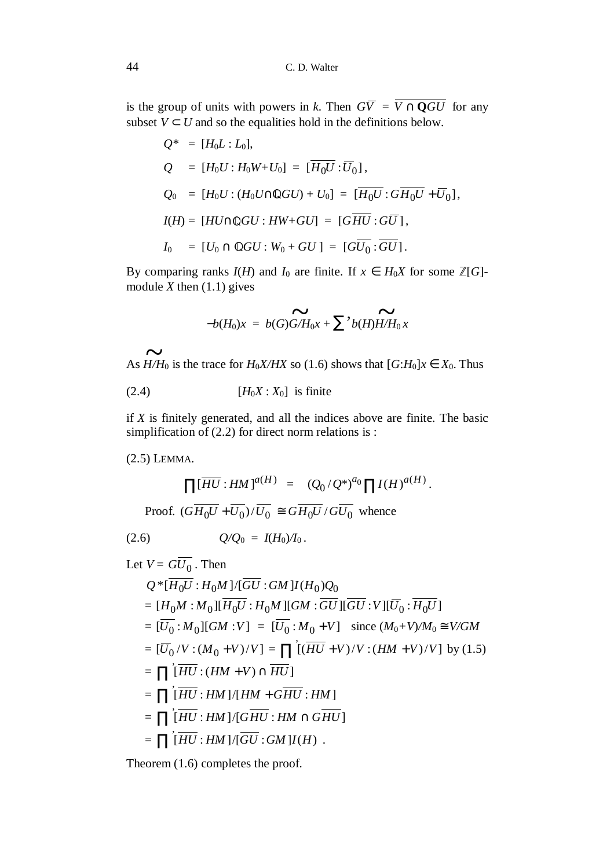is the group of units with powers in *k*. Then  $G\overline{V} = \overline{V \cap \mathbf{Q}GU}$  for any subset  $V \subset U$  and so the equalities hold in the definitions below.

$$
Q^* = [H_0L : L_0],
$$
  
\n
$$
Q = [H_0U : H_0W + U_0] = [\overline{H_0U} : \overline{U_0}],
$$
  
\n
$$
Q_0 = [H_0U : (H_0U \cap \mathbb{Q}GU) + U_0] = [\overline{H_0U} : G\overline{H_0U} + \overline{U_0}],
$$
  
\n
$$
I(H) = [HU \cap \mathbb{Q}GU : HW + GU] = [G\overline{HU} : G\overline{U}],
$$
  
\n
$$
I_0 = [U_0 \cap \mathbb{Q}GU : W_0 + GU] = [G\overline{U_0} : \overline{GU}].
$$

By comparing ranks  $I(H)$  and  $I_0$  are finite. If  $x \in H_0X$  for some  $\mathbb{Z}[G]$ module *X* then (1.1) gives

$$
-b(H_0)x = b(G)\widetilde{G/H_0x} + \sum' b(H)\widetilde{H/H_0x}
$$

As  $\widetilde{H/H_0}$  is the trace for  $H_0X/HX$  so (1.6) shows that  $[G:H_0]x \in X_0$ . Thus

$$
(2.4) \t\t [H_0X : X_0] \t is finite
$$

if *X* is finitely generated, and all the indices above are finite. The basic simplification of (2.2) for direct norm relations is :

(2.5) LEMMA.

$$
\prod [\overline{HU} : HM]^{a(H)} = (Q_0/Q^*)^{a_0} \prod I(H)^{a(H)}.
$$
  
Proof. 
$$
(\overline{GH_0U} + \overline{U_0}) / \overline{U_0} \cong \overline{GH_0U} / \overline{GU_0}
$$
 whence

$$
(2.6) \tQ/Q_0 = I(H_0)/I_0.
$$

Let 
$$
V = GU_0
$$
. Then  
\n $Q^*[\overline{H_0U} : H_0M]/[\overline{GU} : GM]I(H_0)Q_0$   
\n $= [H_0M : M_0][\overline{H_0U} : H_0M][GM : \overline{GU}][\overline{GU} : V][\overline{U_0} : \overline{H_0U}]$   
\n $= [\overline{U_0} : M_0][GM : V] = [\overline{U_0} : M_0 + V] \text{ since } (M_0 + V)/M_0 \cong V/GM$   
\n $= [\overline{U_0}/V : (M_0 + V)/V] = \prod [\overline{(HU + V)}/V : (HM + V)/V] \text{ by } (1.5)$   
\n $= \prod [\overline{HU} : (HM + V) \cap \overline{HU}]$   
\n $= \prod [\overline{HU} : HM]/[HM + \overline{GHU} : HM]$   
\n $= \prod [\overline{HU} : HM]/[\overline{GU} : GM]I(H) .$ 

Theorem (1.6) completes the proof.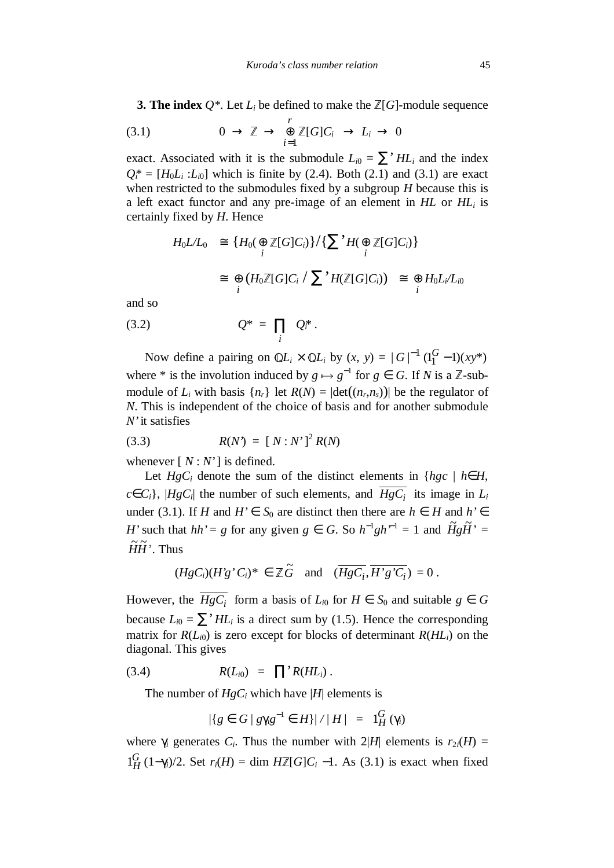**3. The index**  $Q^*$ . Let  $L_i$  be defined to make the  $\mathbb{Z}[G]$ -module sequence

(3.1) 
$$
0 \to \mathbb{Z} \to \bigoplus_{i=1}^r \mathbb{Z}[G]C_i \to L_i \to 0
$$

exact. Associated with it is the submodule  $L_{i0} = \sum' H L_i$  and the index  $Q_i^* = [H_0 L_i : L_{i0}]$  which is finite by (2.4). Both (2.1) and (3.1) are exact when restricted to the submodules fixed by a subgroup *H* because this is a left exact functor and any pre-image of an element in *HL* or *HL<sup>i</sup>* is certainly fixed by *H*. Hence

$$
H_0L/L_0 \cong \{H_0(\bigoplus_i \mathbb{Z}[G]C_i)\}/\{\sum_i H(\bigoplus_i \mathbb{Z}[G]C_i)\}
$$
  

$$
\cong \bigoplus_i (H_0\mathbb{Z}[G]C_i / \sum_i H(\mathbb{Z}[G]C_i)) \cong \bigoplus_i H_0L_i/L_{i0}
$$

and so

$$
(3.2) \tQ^* = \prod_i Q_i^*.
$$

Now define a pairing on  $\mathbb{Q}L_i \times \mathbb{Q}L_i$  by  $(x, y) = |G|^{-1} (1_1^G - 1)(xy^*)$ where \* is the involution induced by  $g \mapsto g^{-1}$  for  $g \in G$ . If *N* is a  $\mathbb{Z}$ -submodule of  $L_i$  with basis  $\{n_r\}$  let  $R(N) = |\text{det}((n_r, n_s))|$  be the regulator of *N*. This is independent of the choice of basis and for another submodule *N'* it satisfies

(3.3) 
$$
R(N') = [N : N']^{2} R(N)
$$

whenever  $[N: N']$  is defined.

Let  $HgC_i$  denote the sum of the distinct elements in { $hgc \mid h \in H$ ,  $c \in C_i$ ,  $|HgC_i|$  the number of such elements, and  $HgC_i$  its image in  $L_i$ under (3.1). If *H* and *H'* ∈ *S*<sub>0</sub> are distinct then there are *h* ∈ *H* and *h'* ∈ *H*' such that  $hh' = g$  for any given  $g \in G$ . So  $h^{-1}gh^{-1} = 1$  and  $\widetilde{H}g\widetilde{H}$ ' =  $\widetilde{H}\widetilde{H}$ <sup>'</sup>. Thus

$$
(HgC_i)(H'g'C_i)^* \in \mathbb{Z}\widetilde{G} \text{ and } (\overline{HgC_i}, \overline{H'g'C_i}) = 0.
$$

However, the  $HgC_i$  form a basis of  $L_{i0}$  for  $H \in S_0$  and suitable  $g \in G$ because  $L_{i0} = \sum' H L_i$  is a direct sum by (1.5). Hence the corresponding matrix for  $R(L_{i0})$  is zero except for blocks of determinant  $R(HL_{i})$  on the diagonal. This gives

$$
(3.4) \t R(L_{i0}) = \prod' R(HL_i).
$$

The number of  $HgC_i$  which have |*H*| elements is

$$
|\{g \in G \mid g\gamma_i g^{-1} \in H\}| / |H| = 1_H^G(\gamma_i)
$$

where  $\gamma_i$  generates  $C_i$ . Thus the number with  $2|H|$  elements is  $r_{2i}(H)$  =  $1_H^G$  (1−γ*i*)/2. Set *r<sub>i</sub>*(*H*) = dim *H*<sup> $Z$ </sup>[*G*]*C<sub><i>i*</sub></sub> −1. As (3.1) is exact when fixed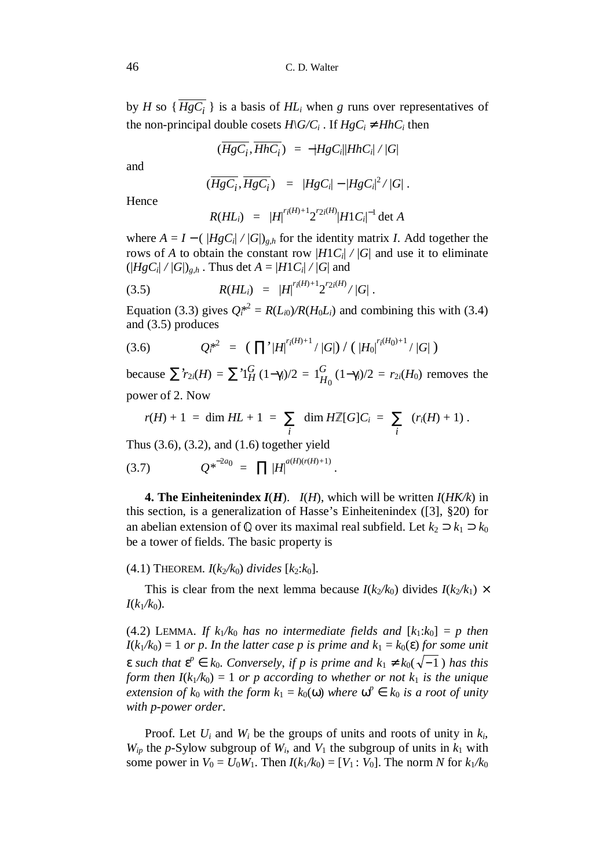by *H* so  $\{HgC_i\}$  is a basis of  $HL_i$  when *g* runs over representatives of the non-principal double cosets  $H\backslash G/C_i$ . If  $HgC_i \neq HhC_i$  then

$$
(\overline{HgC_i}, \overline{HhC_i}) = -|HgC_i||HhC_i|/|G|
$$

and

$$
(\overline{HgC_i},\overline{HgC_i}) = |HgC_i| - |HgC_i|^2/|G|.
$$

Hence

$$
R(HL_i) = |H|^{r_i(H)+1} 2^{r_{2i}(H)} |H1C_i|^{-1} \det A
$$

where  $A = I - (|HgC_i|/|G|)_{g,h}$  for the identity matrix *I*. Add together the rows of *A* to obtain the constant row  $|H_1C_i|/|G|$  and use it to eliminate  $(|HgC_i|/|G|)_{g,h}$ . Thus det  $A = |H1C_i|/|G|$  and

$$
(3.5) \t R(HL_i) = |H|^{r_i(H)+1} 2^{r_2(iH)}/|G|.
$$

Equation (3.3) gives  $Q_i^{*2} = R(L_{i0})/R(H_0L_i)$  and combining this with (3.4) and (3.5) produces

$$
(3.6) \tQ_i^{*2} = (\prod' |H|^{r_i(H)+1} / |G|) / (|H_0|^{r_i(H_0)+1} / |G|)
$$

 $\sum$ <sup>*'r*</sup><sub>2*i*</sub>(*H*) =  $\sum$ <sup>'</sup><sup>1</sup>*G*</sup><sub>*H*</sub> (1−γ*<sub>i</sub>*)/2 = 1*G*<sub>*H*</sub>  $1_{H_0}^{G} (1 - \gamma_i)/2 = r_{2i}(H_0)$  removes the power of 2. Now

$$
r(H) + 1 = \dim HL + 1 = \sum_i \dim H\mathbb{Z}[G]C_i = \sum_i (r_i(H) + 1).
$$

.

Thus (3.6), (3.2), and (1.6) together yield

(3.7) 
$$
Q^{*^{-2a_0}} = \prod |H|^{a(H)(r(H)+1)}
$$

**4. The Einheitenindex**  $I(H)$ **.**  $I(H)$ , which will be written  $I(HK/k)$  in this section, is a generalization of Hasse's Einheitenindex ([3], §20) for an abelian extension of  $\mathbb{Q}$  over its maximal real subfield. Let  $k_2 \supset k_1 \supset k_0$ be a tower of fields. The basic property is

#### $(4.1)$  THEOREM.  $I(k_2/k_0)$  divides  $[k_2:k_0]$ .

This is clear from the next lemma because  $I(k_2/k_0)$  divides  $I(k_2/k_1) \times I(k_2/k_2)$  $I(k_1/k_0)$ .

(4.2) LEMMA. *If*  $k_1/k_0$  has no intermediate fields and  $[k_1:k_0] = p$  then  $I(k_1/k_0) = 1$  *or p.* In the latter case p is prime and  $k_1 = k_0(\varepsilon)$  for some unit  $\epsilon$  such that  $\epsilon^p \in k_0$ . Conversely, if p is prime and  $k_1 \neq k_0(\sqrt{-1})$  has this *form then*  $I(k_1/k_0) = 1$  *or p according to whether or not*  $k_1$  *is the unique extension of*  $k_0$  *with the form*  $k_1 = k_0(\omega)$  *where*  $\omega^p \in k_0$  *is a root of unity with p-power order*.

Proof. Let  $U_i$  and  $W_i$  be the groups of units and roots of unity in  $k_i$ ,  $W_{ip}$  the *p*-Sylow subgroup of  $W_i$ , and  $V_1$  the subgroup of units in  $k_1$  with some power in  $V_0 = U_0 W_1$ . Then  $I(k_1/k_0) = [V_1 : V_0]$ . The norm *N* for  $k_1/k_0$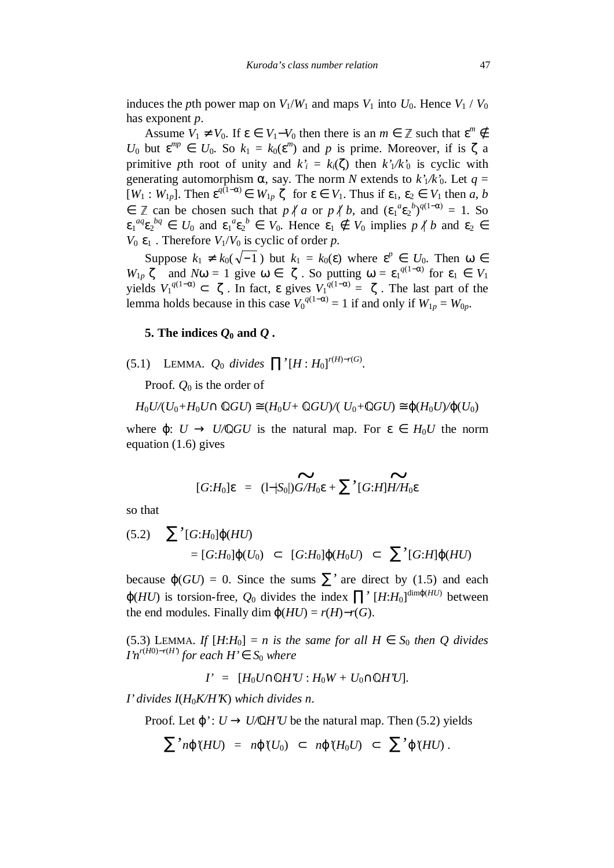induces the *p*th power map on  $V_1/W_1$  and maps  $V_1$  into  $U_0$ . Hence  $V_1 / V_0$ has exponent *p*.

Assume  $V_1 \neq V_0$ . If  $\varepsilon \in V_1 - V_0$  then there is an  $m \in \mathbb{Z}$  such that  $\varepsilon^m \notin \mathbb{Z}$ *U*<sup>0</sup> but  $\epsilon^{mp} \in U_0$ . So  $k_1 = k_0(\epsilon^m)$  and *p* is prime. Moreover, if is  $\zeta$  a primitive *pth* root of unity and  $k_i = k_i(\zeta)$  then  $k_i/k_0$  is cyclic with generating automorphism  $\alpha$ , say. The norm *N* extends to  $k'/k'$ <sup>0</sup>. Let  $q =$  $[W_1 : W_{1p}]$ . Then  $\varepsilon^{q(1-\alpha)} \in W_{1p}(\zeta)$  for  $\varepsilon \in V_1$ . Thus if  $\varepsilon_1, \varepsilon_2 \in V_1$  then a, b  $∈$   $\mathbb{Z}$  can be chosen such that  $p \nmid a$  or  $p \nmid b$ , and  $(\epsilon_1^a \epsilon_2^b)^{q(1-\alpha)} = 1$ . So  $\varepsilon_1^{aq} \varepsilon_2^{bq} \in U_0$  and  $\varepsilon_1^a \varepsilon_2^b \in V_0$ . Hence  $\varepsilon_1 \notin V_0$  implies  $p \nmid b$  and  $\varepsilon_2 \in$  $V_0 \langle \varepsilon_1 \rangle$ . Therefore  $V_1 / V_0$  is cyclic of order *p*.

Suppose  $k_1 \neq k_0(\sqrt{-1})$  but  $k_1 = k_0(\varepsilon)$  where  $\varepsilon^p \in U_0$ . Then  $\omega \in$ *W*<sub>1*p*</sub> $\langle \zeta \rangle$  and *N*ω = 1 give ω ∈  $\langle \zeta \rangle$ . So putting ω = ε<sub>1</sub><sup>*q*(1−α)</sup> for ε<sub>1</sub> ∈ *V*<sub>1</sub> yields  $V_1^{q(1-\alpha)}$  ⊂  $\langle \zeta \rangle$ . In fact, ε gives  $V_1^{q(1-\alpha)} = \langle \zeta \rangle$ . The last part of the lemma holds because in this case  $V_0^{q(1-\alpha)} = 1$  if and only if  $W_{1p} = W_{0p}$ .

## **5.** The indices  $Q_0$  and  $Q$ .

(5.1) LEMMA.  $Q_0$  *divides*  $\prod' [H:H_0]^{r(H)-r(G)}$ .

Proof.  $O_0$  is the order of

 $H_0 U/(U_0 + H_0 U \cap \mathbb{Q}GU) \cong (H_0 U + \mathbb{Q}GU)/(U_0 + \mathbb{Q}GU) \cong \varphi(H_0 U)/\varphi(U_0)$ 

where  $\varphi: U \to U/\mathbb{Q}GU$  is the natural map. For  $\varepsilon \in H_0U$  the norm equation (1.6) gives

$$
[G:H_0]\varepsilon = (1-|S_0|)\widetilde{G/H_0}\varepsilon + \sum (G:H)\widetilde{H/H_0}\varepsilon
$$

so that

$$
(5.2) \quad \sum' [G:H_0] \varphi(HU) \\
= [G:H_0] \varphi(U_0) \subset [G:H_0] \varphi(H_0U) \subset \sum' [G:H] \varphi(HU)
$$

because  $\varphi(GU) = 0$ . Since the sums  $\sum'$  are direct by (1.5) and each  $\varphi(HU)$  is torsion-free,  $Q_0$  divides the index  $\prod' [H:H_0]^{\dim \varphi(HU)}$  between the end modules. Finally dim  $\varphi(HU) = r(H) - r(G)$ .

(5.3) LEMMA. *If*  $[H:H_0] = n$  *is the same for all*  $H \in S_0$  *then Q divides I'n*<sup> $r$ (*H*0)− $r$ (*H'*)</sub> *for each*  $H' \in S_0$  *where*</sup>

*I'* =  $[H_0U \cap \mathbb{Q}H'U : H_0W + U_0 \cap \mathbb{Q}H'U].$ 

*I' divides I*(*H*0*K/H'K*) *which divides n*.

Proof. Let  $\varphi' : U \to U/\mathbb{Q}H'U$  be the natural map. Then (5.2) yields

$$
\sum n\varphi(HU) = n\varphi(U_0) \subset n\varphi(H_0U) \subset \sum \varphi(HU).
$$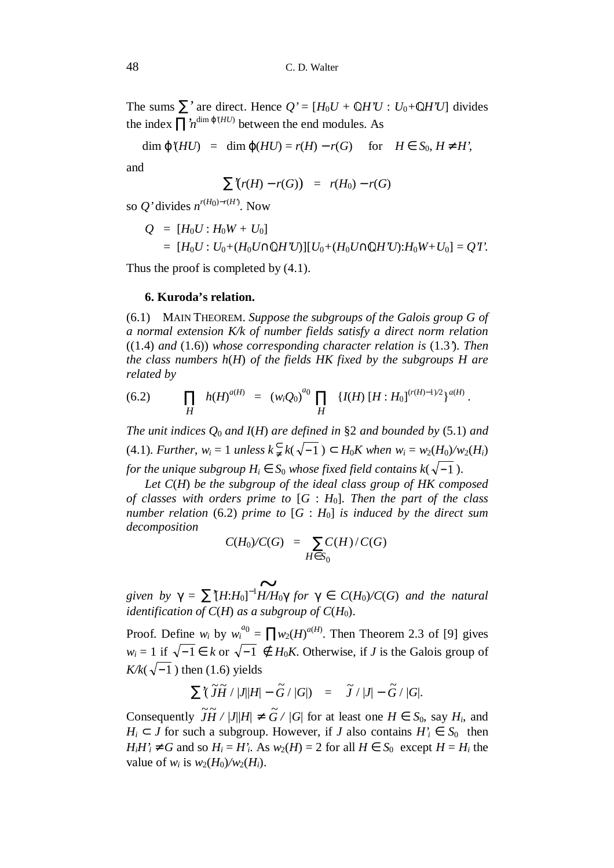The sums  $\sum'$  are direct. Hence  $Q' = [H_0U + \mathbb{Q}H'U : U_0 + \mathbb{Q}H'U]$  divides the index  $\prod_{n=1}^{\infty} \frac{d^{(n)} \phi^{(n)}}{n!}$  between the end modules. As

 $\dim \varphi$ *'*(*HU*) = dim  $\varphi$ (*HU*) = *r*(*H*) – *r*(*G*) for *H* ∈ *S*<sub>0</sub>, *H* ≠ *H'*,

and

$$
\sum'(r(H)-r(G)) = r(H_0)-r(G)
$$

so  $Q'$  divides  $n^{r(H_0)-r(H')}$ . Now

$$
Q = [H_0 U : H_0 W + U_0]
$$
  
= 
$$
[H_0 U : U_0 + (H_0 U \cap \mathbb{Q} H' U)][U_0 + (H_0 U \cap \mathbb{Q} H' U): H_0 W + U_0] = Q' I'.
$$

Thus the proof is completed by  $(4.1)$ .

#### **6. Kuroda's relation.**

(6.1) MAIN THEOREM. *Suppose the subgroups of the Galois group G of a normal extension K/k of number fields satisfy a direct norm relation* ((1.4) *and* (1.6)) *whose corresponding character relation is* (1.3*'*). *Then the class numbers h*(*H*) *of the fields HK fixed by the subgroups H are related by*

.

(6.2) 
$$
\prod_{H} h(H)^{a(H)} = (w_i Q_0)^{a_0} \prod_{H} \{I(H) [H : H_0]^{(r(H)-1)/2} \}^{a(H)}
$$

*The unit indices Q*0 *and I*(*H*) *are defined in* §2 *and bounded by* (5.1) *and*  $(4.1)$ . *Further*,  $w_i = 1$  *unless*  $k \inneq k(\sqrt{-1}) \subset H_0K$  when  $w_i = w_2(H_0)/w_2(H_i)$ *for the unique subgroup*  $H_i \in S_0$  *whose fixed field contains k*( $\sqrt{-1}$ ).

*Let C*(*H*) *be the subgroup of the ideal class group of HK composed of classes with orders prime to* [*G* : *H*0]. *Then the part of the class number relation* (6.2) *prime to* [*G* : *H*0] *is induced by the direct sum decomposition*

$$
C(H_0)/C(G) = \sum_{H \in S_0} C(H)/C(G)
$$

*given by*  $\gamma = \sum [H:H_0]^{-1}$   $\widetilde{H/H_0}\gamma$  *for*  $\gamma \in C(H_0)/C(G)$  *and the natural identification of C(H)* as a subgroup of  $C(H_0)$ .

Proof. Define  $w_i$  by  $w_i^{a_0} = \prod w_2(H)^{a(H)}$ . Then Theorem 2.3 of [9] gives *w<sub>i</sub>* = 1 if  $\sqrt{-1}$  ∈ *k* or  $\sqrt{-1}$  ∉ *H*<sub>0</sub>*K*. Otherwise, if *J* is the Galois group of  $K/k(\sqrt{-1})$  then (1.6) yields

$$
\sum \langle \widetilde{J} \widetilde{H} / |J||H| - \widetilde{G} / |G| \rangle = \widetilde{J} / |J| - \widetilde{G} / |G|.
$$

Consequently  $\widetilde{J}H / |J||H| \neq \widetilde{G} / |G|$  for at least one  $H \in S_0$ , say  $H_i$ , and *H*<sup>*i*</sup> ⊂ *J* for such a subgroup. However, if *J* also contains  $H'$ <sup>*i*</sup> ∈ *S*<sup>0</sup> then  $H_i H'_i \neq G$  and so  $H_i = H'_i$ . As  $w_2(H) = 2$  for all  $H \in S_0$  except  $H = H_i$  the value of  $w_i$  is  $w_2(H_0)/w_2(H_i)$ .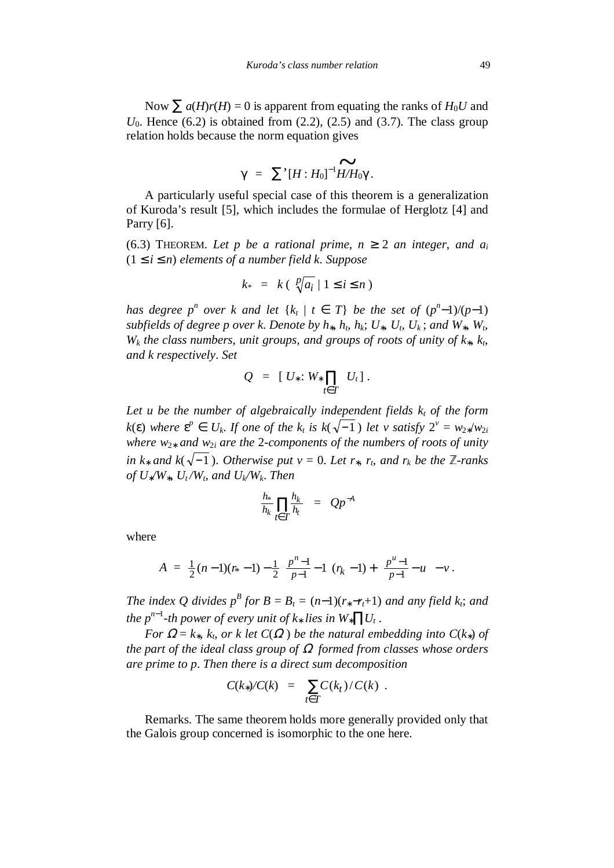Now  $\sum a(H)r(H) = 0$  is apparent from equating the ranks of  $H_0U$  and  $U_0$ . Hence (6.2) is obtained from (2.2), (2.5) and (3.7). The class group relation holds because the norm equation gives

$$
\gamma = \sum^{\prime} [H:H_0]^{-1} \widetilde{H/H_0} \gamma.
$$

A particularly useful special case of this theorem is a generalization of Kuroda's result [5], which includes the formulae of Herglotz [4] and Parry [6].

(6.3) THEOREM. Let p be a rational prime,  $n \geq 2$  an integer, and  $a_i$  $(1 \le i \le n)$  elements of a number field k. Suppose

$$
k_{*} = k \left( \sqrt[p]{a_i} \mid 1 \leq i \leq n \right)
$$

*has degree*  $p^n$  *over k and let*  $\{k_t | t \in T\}$  *be the set of*  $(p^n-1)/(p-1)$ *subfields of degree p over k. Denote by*  $h_*, h_t, h_k; U_*, U_t, U_k$ *; and*  $W_*, W_t$ *,*  $W_k$  *the class numbers, unit groups, and groups of roots of unity of*  $k_*, k_t$ *, and k respectively*. *Set*

$$
Q = [U_*: W_* \prod_{t \in T} U_t].
$$

Let *u* be the number of algebraically independent fields  $k_t$  of the form  $k(\varepsilon)$  where  $\varepsilon^p \in U_k$ . If one of the  $k_t$  is  $k(\sqrt{-1})$  let v satisfy  $2^v = w_{2*}/w_{2i}$ *where w*<sup>2</sup>∗ *and w*<sup>2</sup>*i are the* 2*-components of the numbers of roots of unity in k*<sup>∗</sup> *and k*( $\sqrt{-1}$ ). *Otherwise put v* = 0. Let *r*<sup>\*</sup>, *r*<sub>*t*</sub>, and *r*<sup>*k*</sup> be the  $\mathbb{Z}$ -ranks  $of U_*/W_*$ ,  $U_t/W_t$ , and  $U_k/W_k$ . Then

$$
\frac{h_*}{h_k}\prod_{t\in T}\frac{h_k}{h_t} = Qp^{-A}
$$

where

$$
A = \frac{1}{2}(n-1)(r_{*}-1) - \frac{1}{2}\left(\frac{p^{n}-1}{p-1}-1\right)r_{k} - 1 + \left(\frac{p^{u}-1}{p-1}-u\right)-v.
$$

*The index Q divides*  $p^B$  *for*  $B = B_t = (n-1)(r_* - r_t + 1)$  *and any field k<sub>i</sub>*; *and the p<sup>n</sup>*−<sup>1</sup> *-th power of every unit of k*∗ *lies in W*∗∏*U<sup>t</sup>* .

*For*  $\Omega = k_*, k_t$ , *or k* let  $C(\Omega)$  *be the natural embedding into*  $C(k_*)$  *of the part of the ideal class group of* Ω *formed from classes whose orders are prime to p*. *Then there is a direct sum decomposition*

$$
C(k_*)/C(k) = \sum_{t \in T} C(k_t)/C(k) .
$$

Remarks. The same theorem holds more generally provided only that the Galois group concerned is isomorphic to the one here.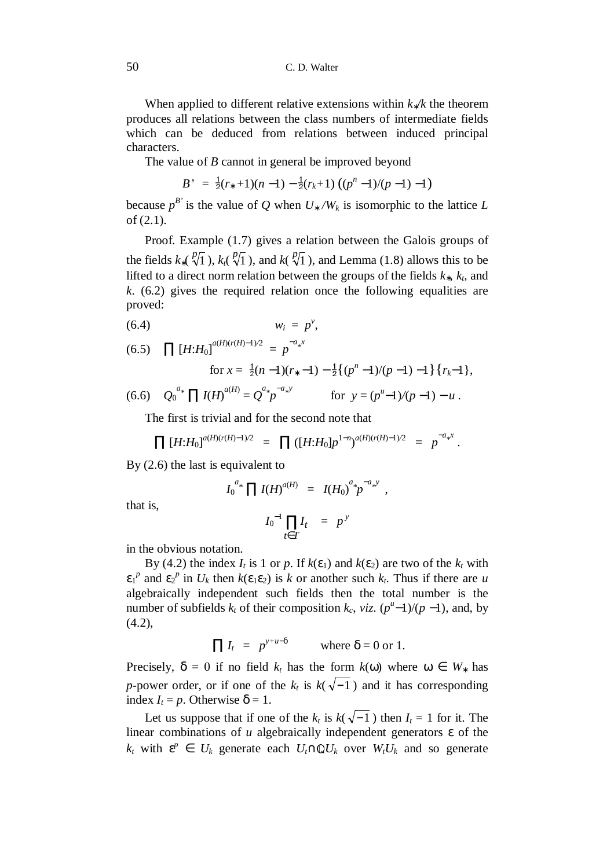When applied to different relative extensions within *k*∗*/k* the theorem produces all relations between the class numbers of intermediate fields which can be deduced from relations between induced principal characters.

The value of *B* cannot in general be improved beyond

$$
B' = \frac{1}{2}(r_*+1)(n-1) - \frac{1}{2}(r_k+1) ((p^n-1)/(p-1)-1)
$$

because  $p^{B'}$  is the value of *Q* when  $U_* / W_k$  is isomorphic to the lattice *L* of (2.1).

Proof. Example (1.7) gives a relation between the Galois groups of the fields  $k_*(\sqrt[p]{1})$ ,  $k_1(\sqrt[p]{1})$ , and  $k(\sqrt[p]{1})$ , and Lemma (1.8) allows this to be lifted to a direct norm relation between the groups of the fields *k*∗, *kt*, and *k*. (6.2) gives the required relation once the following equalities are proved:

$$
(6.4) \t\t\t w_i = p^v,
$$

(6.5) 
$$
\prod [H:H_0]^{a(H)(r(H)-1)/2} = p^{-a_*x}
$$

for 
$$
x = \frac{1}{2}(n-1)(r_*-1) - \frac{1}{2}\{(p^n-1)/(p-1) - 1\}\{r_k-1\}
$$
,

(6.6)  $Q_0^{a_*} \prod I(H)^{a(H)} = Q^{a_*} p^{-a_* y}$  for  $y = (p^u-1)/(p-1) - u$ .

The first is trivial and for the second note that

$$
\prod [H:H_0]^{a(H)(r(H)-1)/2} = \prod ([H:H_0]p^{1-n})^{a(H)(r(H)-1)/2} = p^{-a_*x}.
$$

By (2.6) the last is equivalent to

$$
I_0^{a_*}\prod I(H)^{a(H)} = I(H_0)^{a_*}p^{-a_*y},
$$

that is,

$$
I_0^{-1} \prod_{t \in T} I_t = p^y
$$

in the obvious notation.

By (4.2) the index  $I_t$  is 1 or p. If  $k(\varepsilon_1)$  and  $k(\varepsilon_2)$  are two of the  $k_t$  with  $\epsilon_1^p$  and  $\epsilon_2^p$  in  $U_k$  then  $k(\epsilon_1 \epsilon_2)$  is *k* or another such  $k_t$ . Thus if there are *u* algebraically independent such fields then the total number is the number of subfields  $k_t$  of their composition  $k_c$ ,  $viz$ .  $(p^u-1)/(p-1)$ , and, by (4.2),

$$
\prod I_t = p^{y+u-\delta} \qquad \text{where } \delta = 0 \text{ or } 1.
$$

Precisely,  $\delta = 0$  if no field  $k_t$  has the form  $k(\omega)$  where  $\omega \in W_*$  has *p*-power order, or if one of the  $k_t$  is  $k(\sqrt{-1})$  and it has corresponding index  $I_t = p$ . Otherwise δ = 1.

Let us suppose that if one of the  $k_t$  is  $k(\sqrt{-1})$  then  $I_t = 1$  for it. The linear combinations of *u* algebraically independent generators ε of the  $k_t$  with  $\epsilon^p \in U_k$  generate each  $U_t \cap \mathbb{Q}U_k$  over  $W_t U_k$  and so generate